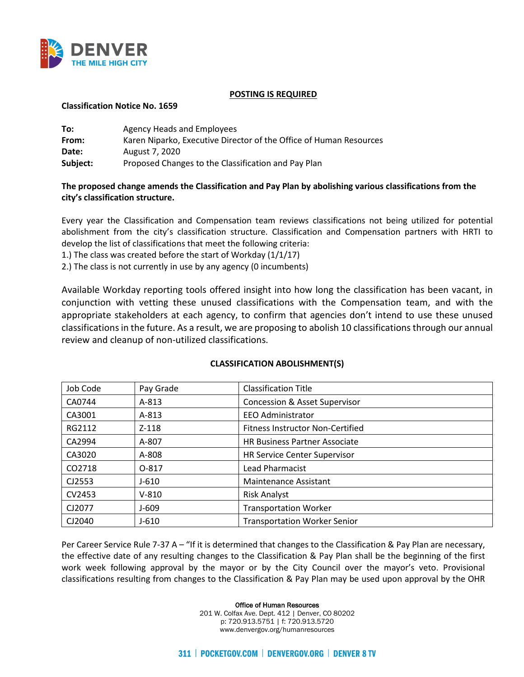

### **POSTING IS REQUIRED**

### **Classification Notice No. 1659**

| To:      | Agency Heads and Employees                                         |
|----------|--------------------------------------------------------------------|
| From:    | Karen Niparko, Executive Director of the Office of Human Resources |
| Date:    | August 7, 2020                                                     |
| Subject: | Proposed Changes to the Classification and Pay Plan                |

## **The proposed change amends the Classification and Pay Plan by abolishing various classifications from the city's classification structure.**

Every year the Classification and Compensation team reviews classifications not being utilized for potential abolishment from the city's classification structure. Classification and Compensation partners with HRTI to develop the list of classifications that meet the following criteria:

1.) The class was created before the start of Workday (1/1/17)

2.) The class is not currently in use by any agency (0 incumbents)

Available Workday reporting tools offered insight into how long the classification has been vacant, in conjunction with vetting these unused classifications with the Compensation team, and with the appropriate stakeholders at each agency, to confirm that agencies don't intend to use these unused classifications in the future. As a result, we are proposing to abolish 10 classifications through our annual review and cleanup of non-utilized classifications.

| Job Code | Pay Grade | <b>Classification Title</b>              |
|----------|-----------|------------------------------------------|
| CA0744   | $A - 813$ | <b>Concession &amp; Asset Supervisor</b> |
| CA3001   | $A - 813$ | <b>EEO Administrator</b>                 |
| RG2112   | $Z - 118$ | <b>Fitness Instructor Non-Certified</b>  |
| CA2994   | A-807     | <b>HR Business Partner Associate</b>     |
| CA3020   | A-808     | HR Service Center Supervisor             |
| CO2718   | 0-817     | Lead Pharmacist                          |
| CJ2553   | $J-610$   | Maintenance Assistant                    |
| CV2453   | $V-810$   | <b>Risk Analyst</b>                      |
| CJ2077   | $J - 609$ | <b>Transportation Worker</b>             |
| CJ2040   | $J - 610$ | <b>Transportation Worker Senior</b>      |

### **CLASSIFICATION ABOLISHMENT(S)**

Per Career Service Rule 7-37 A – "If it is determined that changes to the Classification & Pay Plan are necessary, the effective date of any resulting changes to the Classification & Pay Plan shall be the beginning of the first work week following approval by the mayor or by the City Council over the mayor's veto. Provisional classifications resulting from changes to the Classification & Pay Plan may be used upon approval by the OHR

Office of Human Resources

201 W. Colfax Ave. Dept. 412 | Denver, CO 80202 p: 720.913.5751 | f: 720.913.5720 www.denvergov.org/humanresources